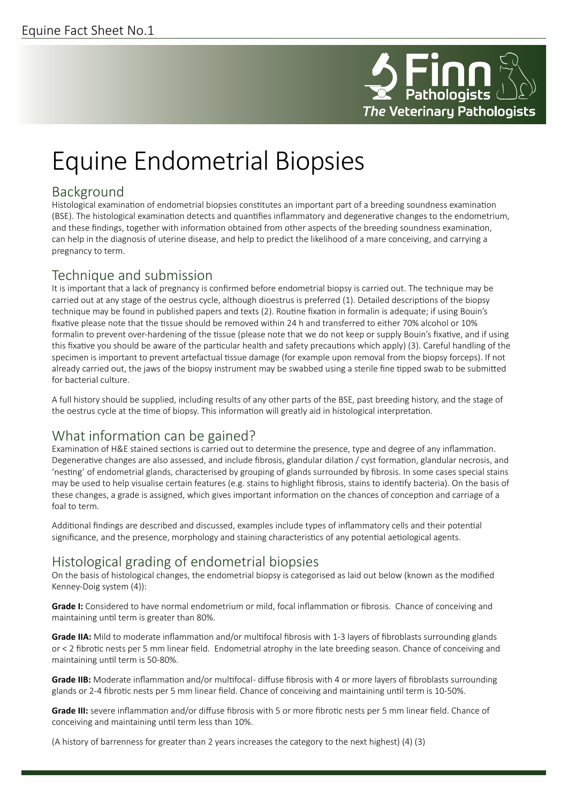

# Equine Endometrial Biopsies

#### Background

Histological examination of endometrial biopsies constitutes an important part of a breeding soundness examination (BSE). The histological examination detects and quantifies inflammatory and degenerative changes to the endometrium, and these findings, together with information obtained from other aspects of the breeding soundness examination, can help in the diagnosis of uterine disease, and help to predict the likelihood of a mare conceiving, and carrying a pregnancy to term.

#### Technique and submission

It is important that a lack of pregnancy is confirmed before endometrial biopsy is carried out. The technique may be carried out at any stage of the oestrus cycle, although dioestrus is preferred (1). Detailed descriptions of the biopsy technique may be found in published papers and texts (2). Routine fixation in formalin is adequate; if using Bouin's fixative please note that the tissue should be removed within 24 h and transferred to either 70% alcohol or 10% formalin to prevent over-hardening of the tissue (please note that we do not keep or supply Bouin's fixative, and if using this fixative you should be aware of the particular health and safety precautions which apply) (3). Careful handling of the specimen is important to prevent artefactual tissue damage (for example upon removal from the biopsy forceps). If not already carried out, the jaws of the biopsy instrument may be swabbed using a sterile fine tipped swab to be submitted for bacterial culture.

A full history should be supplied, including results of any other parts of the BSE, past breeding history, and the stage of the oestrus cycle at the time of biopsy. This information will greatly aid in histological interpretation.

## What information can be gained?

Examination of H&E stained sections is carried out to determine the presence, type and degree of any inflammation. Degenerative changes are also assessed, and include fibrosis, glandular dilation / cyst formation, glandular necrosis, and 'nesting' of endometrial glands, characterised by grouping of glands surrounded by fibrosis. In some cases special stains may be used to help visualise certain features (e.g. stains to highlight fibrosis, stains to identify bacteria). On the basis of these changes, a grade is assigned, which gives important information on the chances of conception and carriage of a foal to term.

Additional findings are described and discussed, examples include types of inflammatory cells and their potential significance, and the presence, morphology and staining characteristics of any potential aetiological agents.

## Histological grading of endometrial biopsies

On the basis of histological changes, the endometrial biopsy is categorised as laid out below (known as the modified Kenney-Doig system (4)):

**Grade I:** Considered to have normal endometrium or mild, focal inflammation or fibrosis. Chance of conceiving and maintaining until term is greater than 80%.

**Grade IIA:** Mild to moderate inflammation and/or multifocal fibrosis with 1-3 layers of fibroblasts surrounding glands or < 2 fibrotic nests per 5 mm linear field. Endometrial atrophy in the late breeding season. Chance of conceiving and maintaining until term is 50-80%.

**Grade IIB:** Moderate inflammation and/or multifocal- diffuse fibrosis with 4 or more layers of fibroblasts surrounding glands or 2-4 fibrotic nests per 5 mm linear field. Chance of conceiving and maintaining until term is 10-50%.

**Grade III:** severe inflammation and/or diffuse fibrosis with 5 or more fibrotic nests per 5 mm linear field. Chance of conceiving and maintaining until term less than 10%.

(A history of barrenness for greater than 2 years increases the category to the next highest) (4) (3)